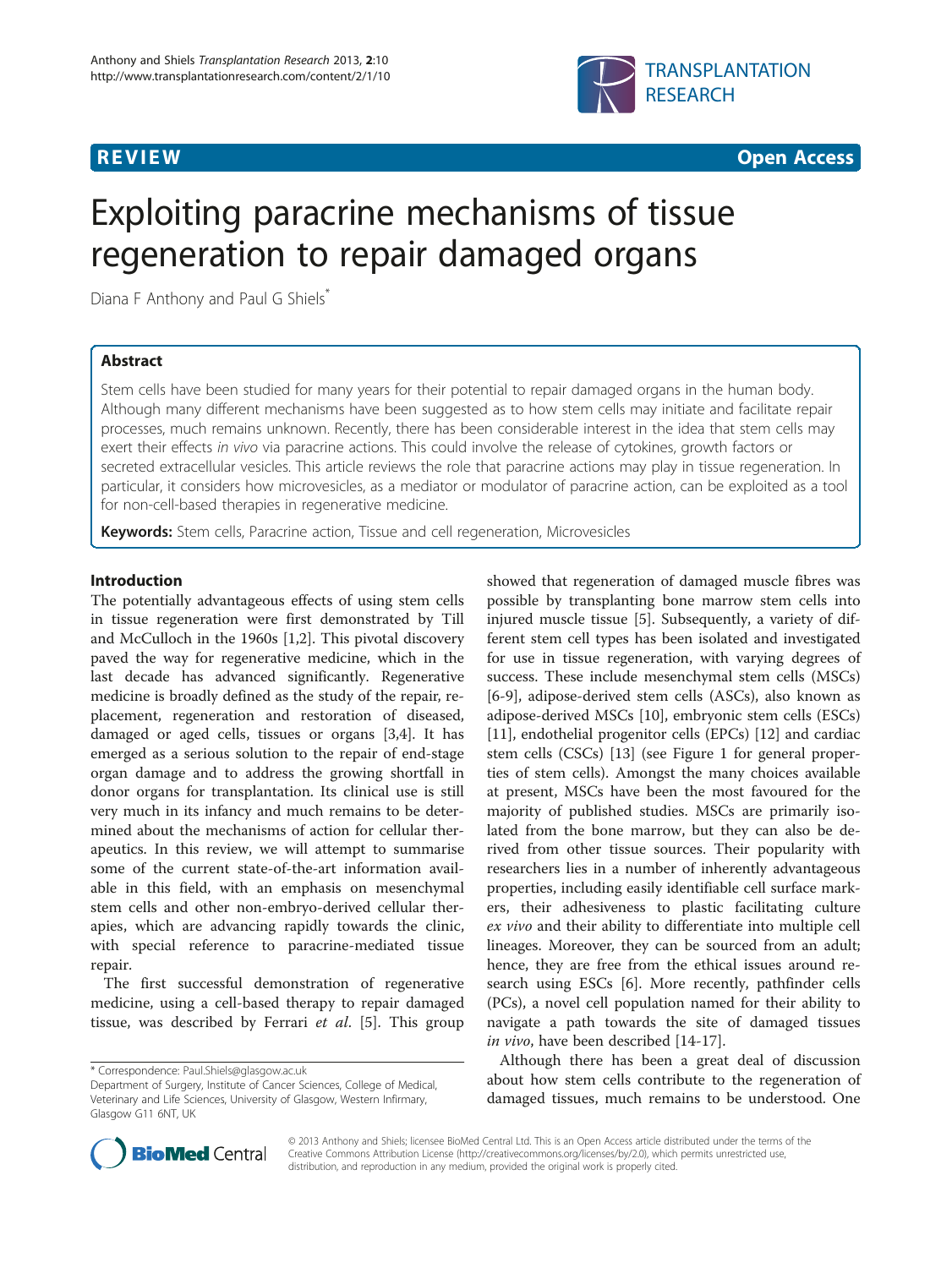

**REVIEW CONSTRUCTION CONSTRUCTION CONSTRUCTION CONSTRUCTS** 

# Exploiting paracrine mechanisms of tissue regeneration to repair damaged organs

Diana F Anthony and Paul G Shiels<sup>\*</sup>

# Abstract

Stem cells have been studied for many years for their potential to repair damaged organs in the human body. Although many different mechanisms have been suggested as to how stem cells may initiate and facilitate repair processes, much remains unknown. Recently, there has been considerable interest in the idea that stem cells may exert their effects in vivo via paracrine actions. This could involve the release of cytokines, growth factors or secreted extracellular vesicles. This article reviews the role that paracrine actions may play in tissue regeneration. In particular, it considers how microvesicles, as a mediator or modulator of paracrine action, can be exploited as a tool for non-cell-based therapies in regenerative medicine.

Keywords: Stem cells, Paracrine action, Tissue and cell regeneration, Microvesicles

# Introduction

The potentially advantageous effects of using stem cells in tissue regeneration were first demonstrated by Till and McCulloch in the 1960s [\[1,2](#page-5-0)]. This pivotal discovery paved the way for regenerative medicine, which in the last decade has advanced significantly. Regenerative medicine is broadly defined as the study of the repair, replacement, regeneration and restoration of diseased, damaged or aged cells, tissues or organs [[3,4\]](#page-5-0). It has emerged as a serious solution to the repair of end-stage organ damage and to address the growing shortfall in donor organs for transplantation. Its clinical use is still very much in its infancy and much remains to be determined about the mechanisms of action for cellular therapeutics. In this review, we will attempt to summarise some of the current state-of-the-art information available in this field, with an emphasis on mesenchymal stem cells and other non-embryo-derived cellular therapies, which are advancing rapidly towards the clinic, with special reference to paracrine-mediated tissue repair.

The first successful demonstration of regenerative medicine, using a cell-based therapy to repair damaged tissue, was described by Ferrari et al. [\[5](#page-5-0)]. This group

showed that regeneration of damaged muscle fibres was possible by transplanting bone marrow stem cells into injured muscle tissue [[5\]](#page-5-0). Subsequently, a variety of different stem cell types has been isolated and investigated for use in tissue regeneration, with varying degrees of success. These include mesenchymal stem cells (MSCs) [[6-9](#page-5-0)], adipose-derived stem cells (ASCs), also known as adipose-derived MSCs [[10\]](#page-5-0), embryonic stem cells (ESCs) [[11\]](#page-6-0), endothelial progenitor cells (EPCs) [\[12](#page-6-0)] and cardiac stem cells (CSCs) [[13\]](#page-6-0) (see Figure [1](#page-1-0) for general properties of stem cells). Amongst the many choices available at present, MSCs have been the most favoured for the majority of published studies. MSCs are primarily isolated from the bone marrow, but they can also be derived from other tissue sources. Their popularity with researchers lies in a number of inherently advantageous properties, including easily identifiable cell surface markers, their adhesiveness to plastic facilitating culture ex vivo and their ability to differentiate into multiple cell lineages. Moreover, they can be sourced from an adult; hence, they are free from the ethical issues around research using ESCs [[6\]](#page-5-0). More recently, pathfinder cells (PCs), a novel cell population named for their ability to navigate a path towards the site of damaged tissues in vivo, have been described [[14-17\]](#page-6-0).

Although there has been a great deal of discussion about how stem cells contribute to the regeneration of damaged tissues, much remains to be understood. One



© 2013 Anthony and Shiels; licensee BioMed Central Ltd. This is an Open Access article distributed under the terms of the Creative Commons Attribution License (<http://creativecommons.org/licenses/by/2.0>), which permits unrestricted use, distribution, and reproduction in any medium, provided the original work is properly cited.

<sup>\*</sup> Correspondence: [Paul.Shiels@glasgow.ac.uk](mailto:Paul.Shiels@glasgow.ac.uk)

Department of Surgery, Institute of Cancer Sciences, College of Medical, Veterinary and Life Sciences, University of Glasgow, Western Infirmary, Glasgow G11 6NT, UK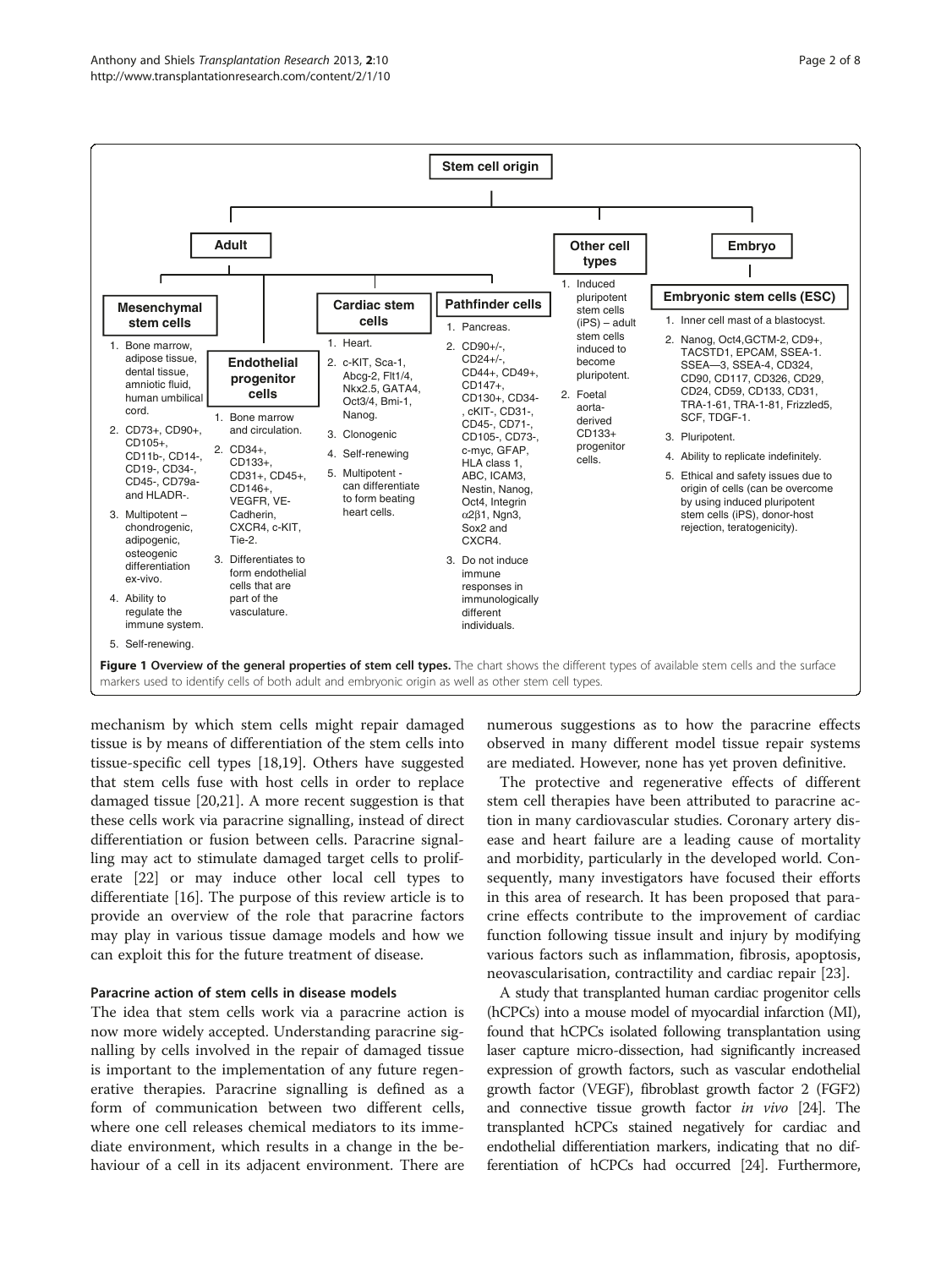<span id="page-1-0"></span>

mechanism by which stem cells might repair damaged tissue is by means of differentiation of the stem cells into tissue-specific cell types [[18,19](#page-6-0)]. Others have suggested that stem cells fuse with host cells in order to replace damaged tissue [[20](#page-6-0),[21](#page-6-0)]. A more recent suggestion is that these cells work via paracrine signalling, instead of direct differentiation or fusion between cells. Paracrine signalling may act to stimulate damaged target cells to proliferate [[22](#page-6-0)] or may induce other local cell types to differentiate [\[16\]](#page-6-0). The purpose of this review article is to provide an overview of the role that paracrine factors may play in various tissue damage models and how we can exploit this for the future treatment of disease.

# Paracrine action of stem cells in disease models

The idea that stem cells work via a paracrine action is now more widely accepted. Understanding paracrine signalling by cells involved in the repair of damaged tissue is important to the implementation of any future regenerative therapies. Paracrine signalling is defined as a form of communication between two different cells, where one cell releases chemical mediators to its immediate environment, which results in a change in the behaviour of a cell in its adjacent environment. There are

numerous suggestions as to how the paracrine effects observed in many different model tissue repair systems are mediated. However, none has yet proven definitive.

The protective and regenerative effects of different stem cell therapies have been attributed to paracrine action in many cardiovascular studies. Coronary artery disease and heart failure are a leading cause of mortality and morbidity, particularly in the developed world. Consequently, many investigators have focused their efforts in this area of research. It has been proposed that paracrine effects contribute to the improvement of cardiac function following tissue insult and injury by modifying various factors such as inflammation, fibrosis, apoptosis, neovascularisation, contractility and cardiac repair [[23\]](#page-6-0).

A study that transplanted human cardiac progenitor cells (hCPCs) into a mouse model of myocardial infarction (MI), found that hCPCs isolated following transplantation using laser capture micro-dissection, had significantly increased expression of growth factors, such as vascular endothelial growth factor (VEGF), fibroblast growth factor 2 (FGF2) and connective tissue growth factor in vivo [\[24\]](#page-6-0). The transplanted hCPCs stained negatively for cardiac and endothelial differentiation markers, indicating that no differentiation of hCPCs had occurred [\[24\]](#page-6-0). Furthermore,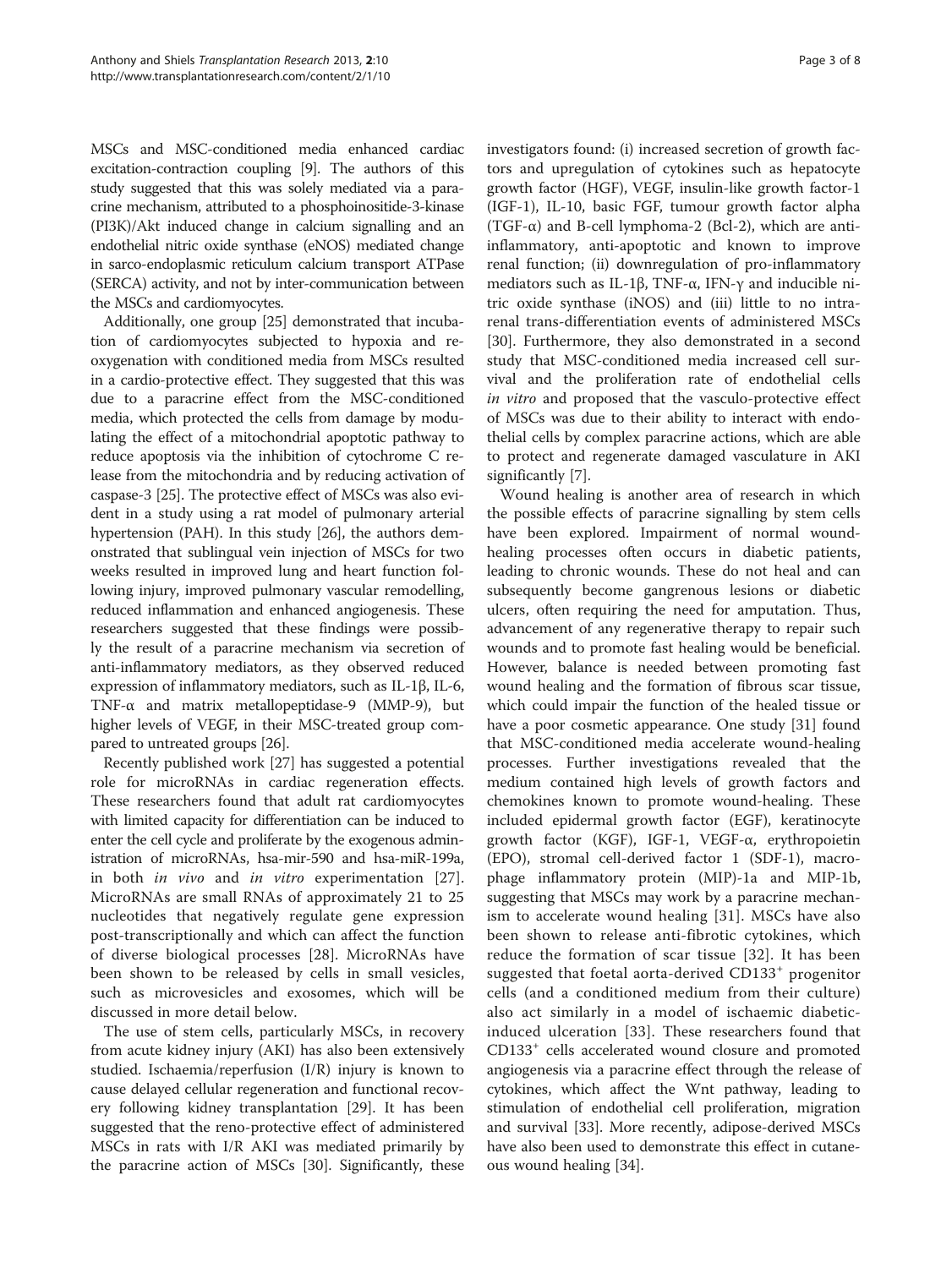MSCs and MSC-conditioned media enhanced cardiac excitation-contraction coupling [\[9\]](#page-5-0). The authors of this study suggested that this was solely mediated via a paracrine mechanism, attributed to a phosphoinositide-3-kinase (PI3K)/Akt induced change in calcium signalling and an endothelial nitric oxide synthase (eNOS) mediated change in sarco-endoplasmic reticulum calcium transport ATPase (SERCA) activity, and not by inter-communication between the MSCs and cardiomyocytes.

Additionally, one group [\[25\]](#page-6-0) demonstrated that incubation of cardiomyocytes subjected to hypoxia and reoxygenation with conditioned media from MSCs resulted in a cardio-protective effect. They suggested that this was due to a paracrine effect from the MSC-conditioned media, which protected the cells from damage by modulating the effect of a mitochondrial apoptotic pathway to reduce apoptosis via the inhibition of cytochrome C release from the mitochondria and by reducing activation of caspase-3 [[25](#page-6-0)]. The protective effect of MSCs was also evident in a study using a rat model of pulmonary arterial hypertension (PAH). In this study [\[26\]](#page-6-0), the authors demonstrated that sublingual vein injection of MSCs for two weeks resulted in improved lung and heart function following injury, improved pulmonary vascular remodelling, reduced inflammation and enhanced angiogenesis. These researchers suggested that these findings were possibly the result of a paracrine mechanism via secretion of anti-inflammatory mediators, as they observed reduced expression of inflammatory mediators, such as IL-1β, IL-6, TNF-α and matrix metallopeptidase-9 (MMP-9), but higher levels of VEGF, in their MSC-treated group compared to untreated groups [\[26](#page-6-0)].

Recently published work [[27\]](#page-6-0) has suggested a potential role for microRNAs in cardiac regeneration effects. These researchers found that adult rat cardiomyocytes with limited capacity for differentiation can be induced to enter the cell cycle and proliferate by the exogenous administration of microRNAs, hsa-mir-590 and hsa-miR-199a, in both in vivo and in vitro experimentation [\[27](#page-6-0)]. MicroRNAs are small RNAs of approximately 21 to 25 nucleotides that negatively regulate gene expression post-transcriptionally and which can affect the function of diverse biological processes [\[28](#page-6-0)]. MicroRNAs have been shown to be released by cells in small vesicles, such as microvesicles and exosomes, which will be discussed in more detail below.

The use of stem cells, particularly MSCs, in recovery from acute kidney injury (AKI) has also been extensively studied. Ischaemia/reperfusion (I/R) injury is known to cause delayed cellular regeneration and functional recovery following kidney transplantation [\[29\]](#page-6-0). It has been suggested that the reno-protective effect of administered MSCs in rats with I/R AKI was mediated primarily by the paracrine action of MSCs [[30](#page-6-0)]. Significantly, these investigators found: (i) increased secretion of growth factors and upregulation of cytokines such as hepatocyte growth factor (HGF), VEGF, insulin-like growth factor-1 (IGF-1), IL-10, basic FGF, tumour growth factor alpha (TGF- $\alpha$ ) and B-cell lymphoma-2 (Bcl-2), which are antiinflammatory, anti-apoptotic and known to improve renal function; (ii) downregulation of pro-inflammatory mediators such as IL-1β, TNF-α, IFN-γ and inducible nitric oxide synthase (iNOS) and (iii) little to no intrarenal trans-differentiation events of administered MSCs [[30\]](#page-6-0). Furthermore, they also demonstrated in a second study that MSC-conditioned media increased cell survival and the proliferation rate of endothelial cells in vitro and proposed that the vasculo-protective effect of MSCs was due to their ability to interact with endothelial cells by complex paracrine actions, which are able to protect and regenerate damaged vasculature in AKI significantly [[7\]](#page-5-0).

Wound healing is another area of research in which the possible effects of paracrine signalling by stem cells have been explored. Impairment of normal woundhealing processes often occurs in diabetic patients, leading to chronic wounds. These do not heal and can subsequently become gangrenous lesions or diabetic ulcers, often requiring the need for amputation. Thus, advancement of any regenerative therapy to repair such wounds and to promote fast healing would be beneficial. However, balance is needed between promoting fast wound healing and the formation of fibrous scar tissue, which could impair the function of the healed tissue or have a poor cosmetic appearance. One study [\[31\]](#page-6-0) found that MSC-conditioned media accelerate wound-healing processes. Further investigations revealed that the medium contained high levels of growth factors and chemokines known to promote wound-healing. These included epidermal growth factor (EGF), keratinocyte growth factor (KGF), IGF-1, VEGF-α, erythropoietin (EPO), stromal cell-derived factor 1 (SDF-1), macrophage inflammatory protein (MIP)-1a and MIP-1b, suggesting that MSCs may work by a paracrine mechanism to accelerate wound healing [[31](#page-6-0)]. MSCs have also been shown to release anti-fibrotic cytokines, which reduce the formation of scar tissue [[32\]](#page-6-0). It has been suggested that foetal aorta-derived CD133<sup>+</sup> progenitor cells (and a conditioned medium from their culture) also act similarly in a model of ischaemic diabeticinduced ulceration [[33](#page-6-0)]. These researchers found that CD133+ cells accelerated wound closure and promoted angiogenesis via a paracrine effect through the release of cytokines, which affect the Wnt pathway, leading to stimulation of endothelial cell proliferation, migration and survival [\[33](#page-6-0)]. More recently, adipose-derived MSCs have also been used to demonstrate this effect in cutaneous wound healing [[34\]](#page-6-0).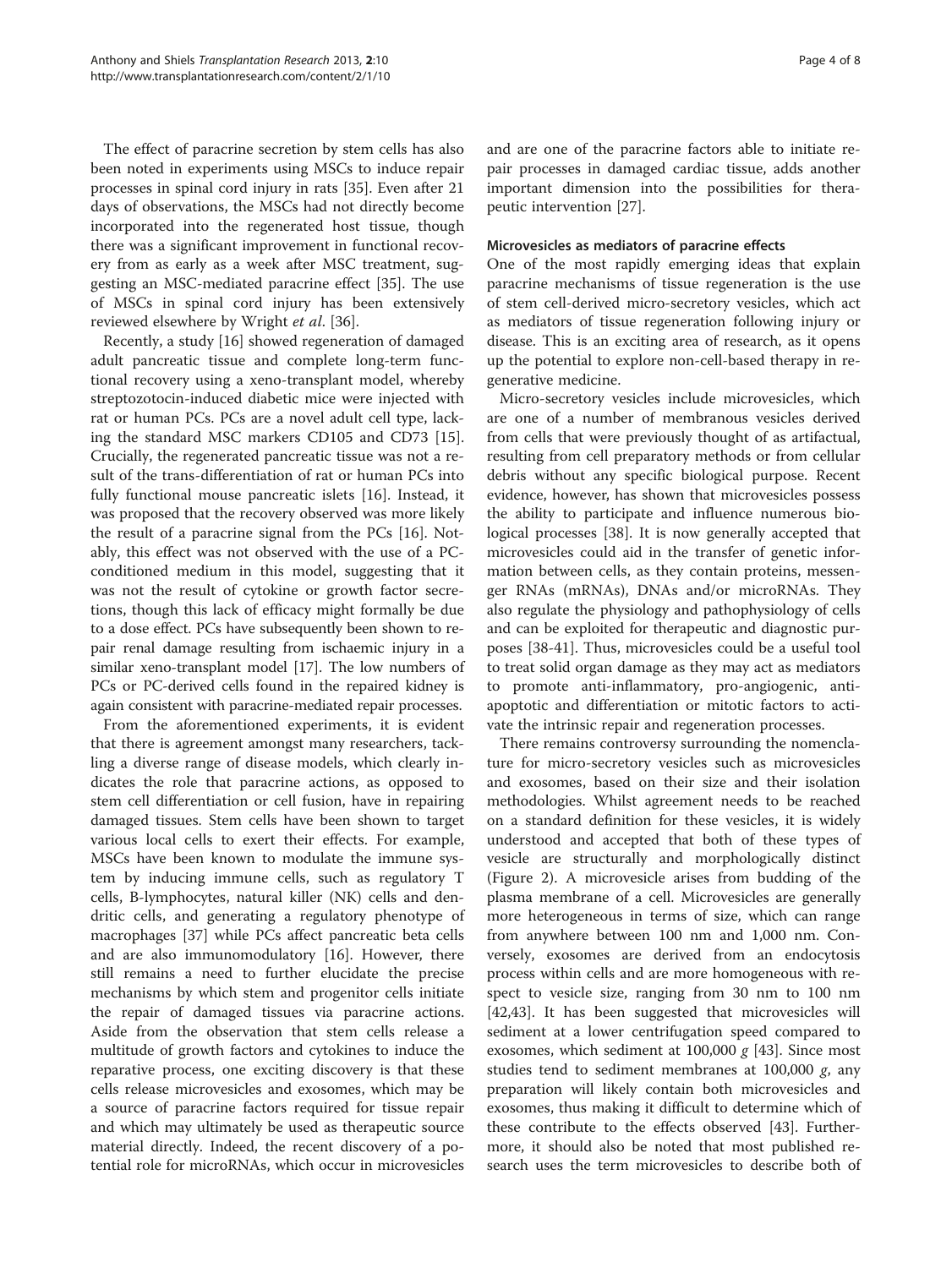The effect of paracrine secretion by stem cells has also been noted in experiments using MSCs to induce repair processes in spinal cord injury in rats [[35\]](#page-6-0). Even after 21 days of observations, the MSCs had not directly become incorporated into the regenerated host tissue, though there was a significant improvement in functional recovery from as early as a week after MSC treatment, suggesting an MSC-mediated paracrine effect [[35](#page-6-0)]. The use of MSCs in spinal cord injury has been extensively reviewed elsewhere by Wright et al. [[36\]](#page-6-0).

Recently, a study [[16\]](#page-6-0) showed regeneration of damaged adult pancreatic tissue and complete long-term functional recovery using a xeno-transplant model, whereby streptozotocin-induced diabetic mice were injected with rat or human PCs. PCs are a novel adult cell type, lacking the standard MSC markers CD105 and CD73 [\[15](#page-6-0)]. Crucially, the regenerated pancreatic tissue was not a result of the trans-differentiation of rat or human PCs into fully functional mouse pancreatic islets [\[16](#page-6-0)]. Instead, it was proposed that the recovery observed was more likely the result of a paracrine signal from the PCs [\[16](#page-6-0)]. Notably, this effect was not observed with the use of a PCconditioned medium in this model, suggesting that it was not the result of cytokine or growth factor secretions, though this lack of efficacy might formally be due to a dose effect. PCs have subsequently been shown to repair renal damage resulting from ischaemic injury in a similar xeno-transplant model [[17](#page-6-0)]. The low numbers of PCs or PC-derived cells found in the repaired kidney is again consistent with paracrine-mediated repair processes.

From the aforementioned experiments, it is evident that there is agreement amongst many researchers, tackling a diverse range of disease models, which clearly indicates the role that paracrine actions, as opposed to stem cell differentiation or cell fusion, have in repairing damaged tissues. Stem cells have been shown to target various local cells to exert their effects. For example, MSCs have been known to modulate the immune system by inducing immune cells, such as regulatory T cells, B-lymphocytes, natural killer (NK) cells and dendritic cells, and generating a regulatory phenotype of macrophages [\[37](#page-6-0)] while PCs affect pancreatic beta cells and are also immunomodulatory [[16\]](#page-6-0). However, there still remains a need to further elucidate the precise mechanisms by which stem and progenitor cells initiate the repair of damaged tissues via paracrine actions. Aside from the observation that stem cells release a multitude of growth factors and cytokines to induce the reparative process, one exciting discovery is that these cells release microvesicles and exosomes, which may be a source of paracrine factors required for tissue repair and which may ultimately be used as therapeutic source material directly. Indeed, the recent discovery of a potential role for microRNAs, which occur in microvesicles

and are one of the paracrine factors able to initiate repair processes in damaged cardiac tissue, adds another important dimension into the possibilities for therapeutic intervention [[27\]](#page-6-0).

## Microvesicles as mediators of paracrine effects

One of the most rapidly emerging ideas that explain paracrine mechanisms of tissue regeneration is the use of stem cell-derived micro-secretory vesicles, which act as mediators of tissue regeneration following injury or disease. This is an exciting area of research, as it opens up the potential to explore non-cell-based therapy in regenerative medicine.

Micro-secretory vesicles include microvesicles, which are one of a number of membranous vesicles derived from cells that were previously thought of as artifactual, resulting from cell preparatory methods or from cellular debris without any specific biological purpose. Recent evidence, however, has shown that microvesicles possess the ability to participate and influence numerous biological processes [[38\]](#page-6-0). It is now generally accepted that microvesicles could aid in the transfer of genetic information between cells, as they contain proteins, messenger RNAs (mRNAs), DNAs and/or microRNAs. They also regulate the physiology and pathophysiology of cells and can be exploited for therapeutic and diagnostic purposes [\[38](#page-6-0)-[41\]](#page-6-0). Thus, microvesicles could be a useful tool to treat solid organ damage as they may act as mediators to promote anti-inflammatory, pro-angiogenic, antiapoptotic and differentiation or mitotic factors to activate the intrinsic repair and regeneration processes.

There remains controversy surrounding the nomenclature for micro-secretory vesicles such as microvesicles and exosomes, based on their size and their isolation methodologies. Whilst agreement needs to be reached on a standard definition for these vesicles, it is widely understood and accepted that both of these types of vesicle are structurally and morphologically distinct (Figure [2\)](#page-4-0). A microvesicle arises from budding of the plasma membrane of a cell. Microvesicles are generally more heterogeneous in terms of size, which can range from anywhere between 100 nm and 1,000 nm. Conversely, exosomes are derived from an endocytosis process within cells and are more homogeneous with respect to vesicle size, ranging from 30 nm to 100 nm [[42,43\]](#page-6-0). It has been suggested that microvesicles will sediment at a lower centrifugation speed compared to exosomes, which sediment at 100,000  $g$  [[43\]](#page-6-0). Since most studies tend to sediment membranes at  $100,000$  g, any preparation will likely contain both microvesicles and exosomes, thus making it difficult to determine which of these contribute to the effects observed [\[43](#page-6-0)]. Furthermore, it should also be noted that most published research uses the term microvesicles to describe both of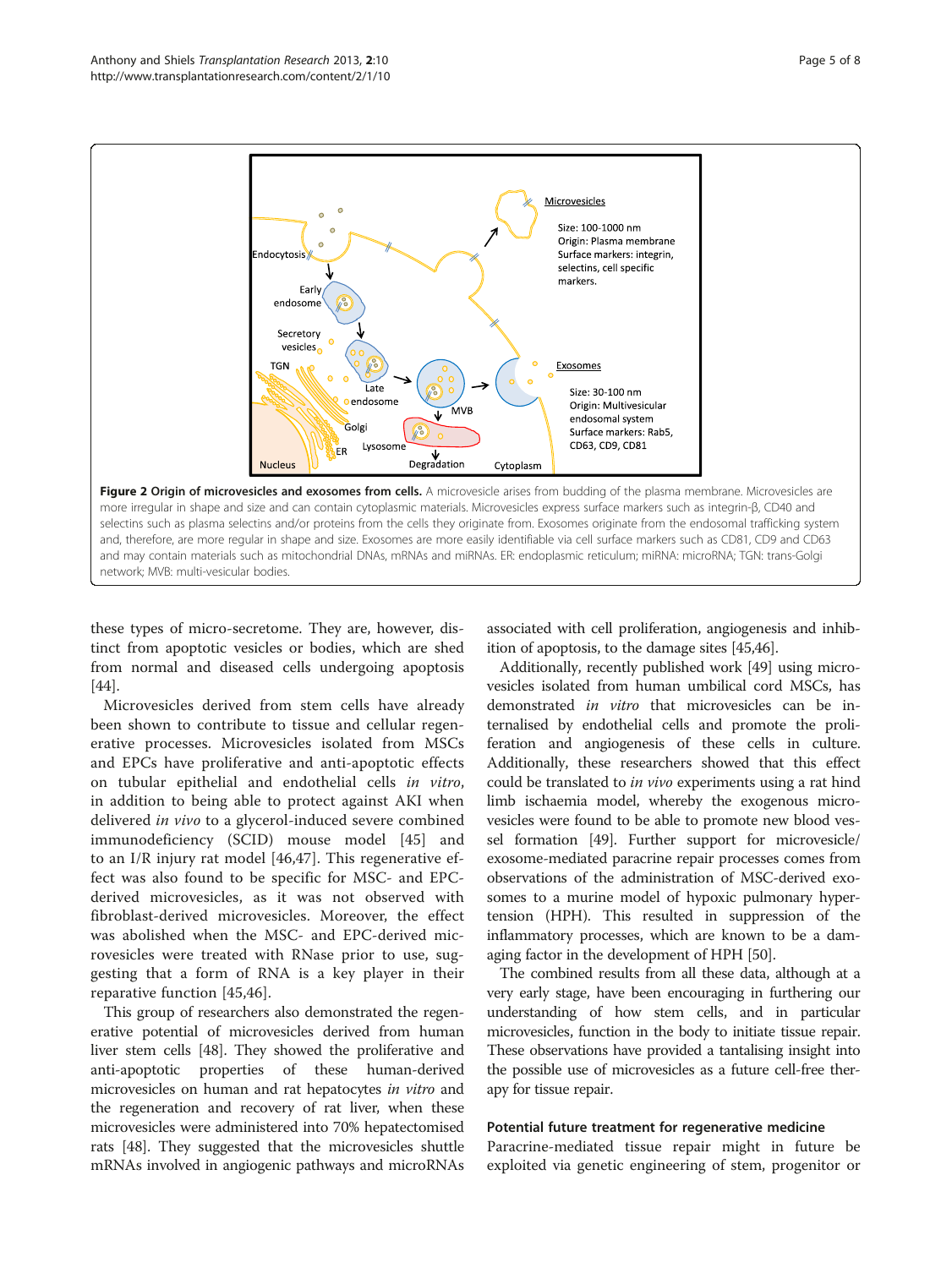<span id="page-4-0"></span>

these types of micro-secretome. They are, however, distinct from apoptotic vesicles or bodies, which are shed from normal and diseased cells undergoing apoptosis [[44\]](#page-6-0).

Microvesicles derived from stem cells have already been shown to contribute to tissue and cellular regenerative processes. Microvesicles isolated from MSCs and EPCs have proliferative and anti-apoptotic effects on tubular epithelial and endothelial cells in vitro, in addition to being able to protect against AKI when delivered in vivo to a glycerol-induced severe combined immunodeficiency (SCID) mouse model [\[45\]](#page-6-0) and to an I/R injury rat model [[46,47](#page-6-0)]. This regenerative effect was also found to be specific for MSC- and EPCderived microvesicles, as it was not observed with fibroblast-derived microvesicles. Moreover, the effect was abolished when the MSC- and EPC-derived microvesicles were treated with RNase prior to use, suggesting that a form of RNA is a key player in their reparative function [[45,46](#page-6-0)].

This group of researchers also demonstrated the regenerative potential of microvesicles derived from human liver stem cells [\[48\]](#page-6-0). They showed the proliferative and anti-apoptotic properties of these human-derived microvesicles on human and rat hepatocytes in vitro and the regeneration and recovery of rat liver, when these microvesicles were administered into 70% hepatectomised rats [\[48](#page-6-0)]. They suggested that the microvesicles shuttle mRNAs involved in angiogenic pathways and microRNAs

associated with cell proliferation, angiogenesis and inhibition of apoptosis, to the damage sites [[45,46\]](#page-6-0).

Additionally, recently published work [[49](#page-6-0)] using microvesicles isolated from human umbilical cord MSCs, has demonstrated in vitro that microvesicles can be internalised by endothelial cells and promote the proliferation and angiogenesis of these cells in culture. Additionally, these researchers showed that this effect could be translated to in vivo experiments using a rat hind limb ischaemia model, whereby the exogenous microvesicles were found to be able to promote new blood vessel formation [[49](#page-6-0)]. Further support for microvesicle/ exosome-mediated paracrine repair processes comes from observations of the administration of MSC-derived exosomes to a murine model of hypoxic pulmonary hypertension (HPH). This resulted in suppression of the inflammatory processes, which are known to be a damaging factor in the development of HPH [[50](#page-6-0)].

The combined results from all these data, although at a very early stage, have been encouraging in furthering our understanding of how stem cells, and in particular microvesicles, function in the body to initiate tissue repair. These observations have provided a tantalising insight into the possible use of microvesicles as a future cell-free therapy for tissue repair.

# Potential future treatment for regenerative medicine

Paracrine-mediated tissue repair might in future be exploited via genetic engineering of stem, progenitor or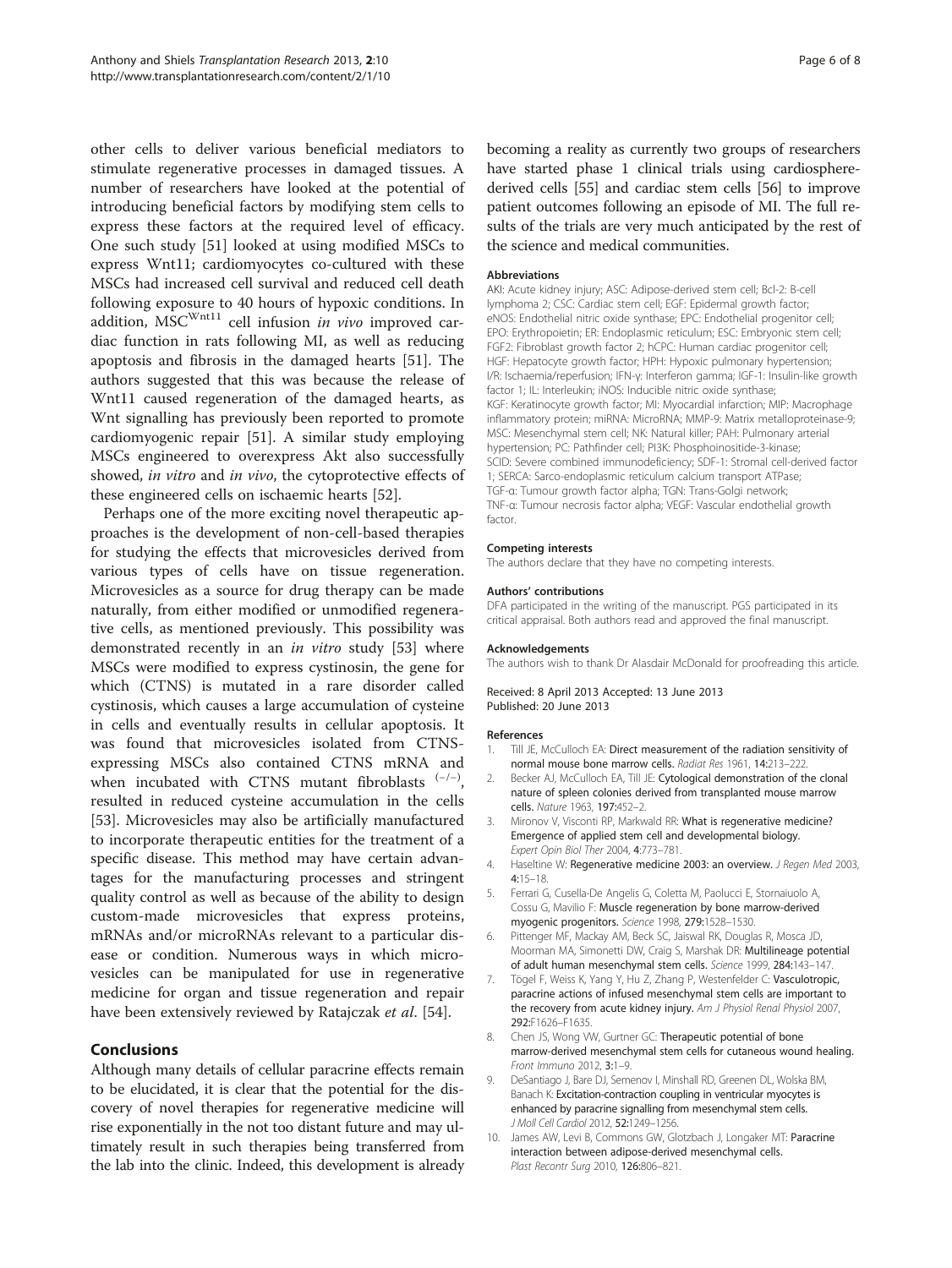<span id="page-5-0"></span>other cells to deliver various beneficial mediators to stimulate regenerative processes in damaged tissues. A number of researchers have looked at the potential of introducing beneficial factors by modifying stem cells to express these factors at the required level of efficacy. One such study [\[51](#page-7-0)] looked at using modified MSCs to express Wnt11; cardiomyocytes co-cultured with these MSCs had increased cell survival and reduced cell death following exposure to 40 hours of hypoxic conditions. In addition,  $\overline{\text{MSC}}^{\text{Wnt11}}$  cell infusion in vivo improved cardiac function in rats following MI, as well as reducing apoptosis and fibrosis in the damaged hearts [[51\]](#page-7-0). The authors suggested that this was because the release of Wnt11 caused regeneration of the damaged hearts, as Wnt signalling has previously been reported to promote cardiomyogenic repair [[51](#page-7-0)]. A similar study employing MSCs engineered to overexpress Akt also successfully showed, in vitro and in vivo, the cytoprotective effects of these engineered cells on ischaemic hearts [\[52](#page-7-0)].

Perhaps one of the more exciting novel therapeutic approaches is the development of non-cell-based therapies for studying the effects that microvesicles derived from various types of cells have on tissue regeneration. Microvesicles as a source for drug therapy can be made naturally, from either modified or unmodified regenerative cells, as mentioned previously. This possibility was demonstrated recently in an in vitro study [\[53](#page-7-0)] where MSCs were modified to express cystinosin, the gene for which (CTNS) is mutated in a rare disorder called cystinosis, which causes a large accumulation of cysteine in cells and eventually results in cellular apoptosis. It was found that microvesicles isolated from CTNSexpressing MSCs also contained CTNS mRNA and when incubated with CTNS mutant fibroblasts<sup>(-/-)</sup>, resulted in reduced cysteine accumulation in the cells [[53\]](#page-7-0). Microvesicles may also be artificially manufactured to incorporate therapeutic entities for the treatment of a specific disease. This method may have certain advantages for the manufacturing processes and stringent quality control as well as because of the ability to design custom-made microvesicles that express proteins, mRNAs and/or microRNAs relevant to a particular disease or condition. Numerous ways in which microvesicles can be manipulated for use in regenerative medicine for organ and tissue regeneration and repair have been extensively reviewed by Ratajczak et al. [\[54](#page-7-0)].

# Conclusions

Although many details of cellular paracrine effects remain to be elucidated, it is clear that the potential for the discovery of novel therapies for regenerative medicine will rise exponentially in the not too distant future and may ultimately result in such therapies being transferred from the lab into the clinic. Indeed, this development is already becoming a reality as currently two groups of researchers have started phase 1 clinical trials using cardiospherederived cells [\[55\]](#page-7-0) and cardiac stem cells [[56\]](#page-7-0) to improve patient outcomes following an episode of MI. The full results of the trials are very much anticipated by the rest of the science and medical communities.

### Abbreviations

AKI: Acute kidney injury; ASC: Adipose-derived stem cell; Bcl-2: B-cell lymphoma 2; CSC: Cardiac stem cell; EGF: Epidermal growth factor; eNOS: Endothelial nitric oxide synthase; EPC: Endothelial progenitor cell; EPO: Erythropoietin; ER: Endoplasmic reticulum; ESC: Embryonic stem cell; FGF2: Fibroblast growth factor 2; hCPC: Human cardiac progenitor cell; HGF: Hepatocyte growth factor; HPH: Hypoxic pulmonary hypertension; I/R: Ischaemia/reperfusion; IFN-γ: Interferon gamma; IGF-1: Insulin-like growth factor 1; IL: Interleukin; iNOS: Inducible nitric oxide synthase; KGF: Keratinocyte growth factor; MI: Myocardial infarction; MIP: Macrophage inflammatory protein; miRNA: MicroRNA; MMP-9: Matrix metalloproteinase-9; MSC: Mesenchymal stem cell; NK: Natural killer; PAH: Pulmonary arterial hypertension; PC: Pathfinder cell; PI3K: Phosphoinositide-3-kinase; SCID: Severe combined immunodeficiency; SDF-1: Stromal cell-derived factor 1; SERCA: Sarco-endoplasmic reticulum calcium transport ATPase; TGF-α: Tumour growth factor alpha; TGN: Trans-Golgi network; TNF-α: Tumour necrosis factor alpha; VEGF: Vascular endothelial growth factor.

#### Competing interests

The authors declare that they have no competing interests.

#### Authors' contributions

DFA participated in the writing of the manuscript. PGS participated in its critical appraisal. Both authors read and approved the final manuscript.

#### Acknowledgements

The authors wish to thank Dr Alasdair McDonald for proofreading this article.

Received: 8 April 2013 Accepted: 13 June 2013 Published: 20 June 2013

#### References

- 1. Till JF, McCulloch FA: Direct measurement of the radiation sensitivity of normal mouse bone marrow cells. Radiat Res 1961, 14:213–222.
- 2. Becker AJ, McCulloch EA, Till JE: Cytological demonstration of the clonal nature of spleen colonies derived from transplanted mouse marrow cells. Nature 1963, 197:452–2.
- 3. Mironov V, Visconti RP, Markwald RR: What is regenerative medicine? Emergence of applied stem cell and developmental biology. Expert Opin Biol Ther 2004, 4:773–781.
- 4. Haseltine W: Regenerative medicine 2003: an overview. J Regen Med 2003, 4:15–18.
- 5. Ferrari G, Cusella-De Angelis G, Coletta M, Paolucci E, Stornaiuolo A, Cossu G, Mavilio F: Muscle regeneration by bone marrow-derived myogenic progenitors. Science 1998, 279:1528–1530.
- Pittenger MF, Mackay AM, Beck SC, Jaiswal RK, Douglas R, Mosca JD, Moorman MA, Simonetti DW, Craig S, Marshak DR: Multilineage potential of adult human mesenchymal stem cells. Science 1999, 284:143–147.
- 7. Tögel F, Weiss K, Yang Y, Hu Z, Zhang P, Westenfelder C: Vasculotropic, paracrine actions of infused mesenchymal stem cells are important to the recovery from acute kidney injury. Am J Physiol Renal Physiol 2007, 292:F1626–F1635.
- 8. Chen JS, Wong VW, Gurtner GC: Therapeutic potential of bone marrow-derived mesenchymal stem cells for cutaneous wound healing. Front Immuno 2012, 3:1–9.
- 9. DeSantiago J, Bare DJ, Semenov I, Minshall RD, Greenen DL, Wolska BM, Banach K: Excitation-contraction coupling in ventricular myocytes is enhanced by paracrine signalling from mesenchymal stem cells. J Moll Cell Cardiol 2012, 52:1249-1256.
- 10. James AW, Levi B, Commons GW, Glotzbach J, Longaker MT: Paracrine interaction between adipose-derived mesenchymal cells. Plast Recontr Surg 2010, 126:806–821.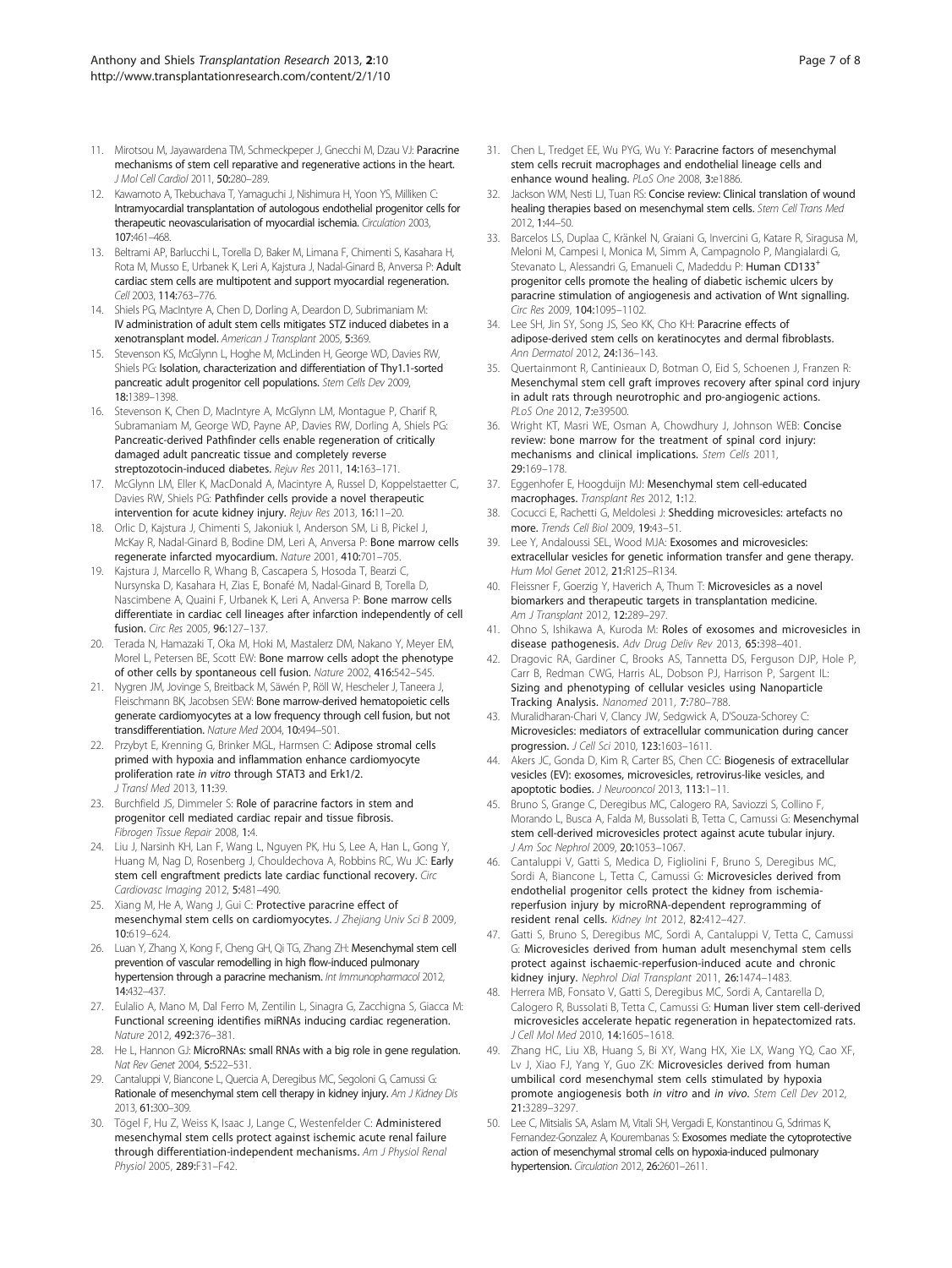- <span id="page-6-0"></span>11. Mirotsou M, Jayawardena TM, Schmeckpeper J, Gnecchi M, Dzau VJ: Paracrine mechanisms of stem cell reparative and regenerative actions in the heart. J Mol Cell Cardiol 2011, 50:280–289.
- 12. Kawamoto A, Tkebuchava T, Yamaguchi J, Nishimura H, Yoon YS, Milliken C: Intramyocardial transplantation of autologous endothelial progenitor cells for therapeutic neovascularisation of myocardial ischemia. Circulation 2003, 107:461–468.
- 13. Beltrami AP, Barlucchi L, Torella D, Baker M, Limana F, Chimenti S, Kasahara H, Rota M, Musso E, Urbanek K, Leri A, Kajstura J, Nadal-Ginard B, Anversa P: Adult cardiac stem cells are multipotent and support myocardial regeneration. Cell 2003, 114:763–776.
- 14. Shiels PG, MacIntyre A, Chen D, Dorling A, Deardon D, Subrimaniam M: IV administration of adult stem cells mitigates STZ induced diabetes in a xenotransplant model. American J Transplant 2005, 5:369.
- 15. Stevenson KS, McGlynn L, Hoghe M, McLinden H, George WD, Davies RW, Shiels PG: Isolation, characterization and differentiation of Thy1.1-sorted pancreatic adult progenitor cell populations. Stem Cells Dev 2009, 18:1389–1398.
- 16. Stevenson K, Chen D, MacIntyre A, McGlynn LM, Montague P, Charif R, Subramaniam M, George WD, Payne AP, Davies RW, Dorling A, Shiels PG: Pancreatic-derived Pathfinder cells enable regeneration of critically damaged adult pancreatic tissue and completely reverse streptozotocin-induced diabetes. Rejuv Res 2011, 14:163–171.
- 17. McGlynn LM, Eller K, MacDonald A, Macintyre A, Russel D, Koppelstaetter C, Davies RW, Shiels PG: Pathfinder cells provide a novel therapeutic intervention for acute kidney injury. Rejuv Res 2013, 16:11–20.
- 18. Orlic D, Kajstura J, Chimenti S, Jakoniuk I, Anderson SM, Li B, Pickel J, McKay R, Nadal-Ginard B, Bodine DM, Leri A, Anversa P: Bone marrow cells regenerate infarcted myocardium. Nature 2001, 410:701–705.
- 19. Kajstura J, Marcello R, Whang B, Cascapera S, Hosoda T, Bearzi C, Nursynska D, Kasahara H, Zias E, Bonafé M, Nadal-Ginard B, Torella D, Nascimbene A, Quaini F, Urbanek K, Leri A, Anversa P: Bone marrow cells differentiate in cardiac cell lineages after infarction independently of cell fusion. Circ Res 2005, 96:127–137.
- 20. Terada N, Hamazaki T, Oka M, Hoki M, Mastalerz DM, Nakano Y, Meyer EM, Morel L, Petersen BE, Scott EW: Bone marrow cells adopt the phenotype of other cells by spontaneous cell fusion. Nature 2002, 416:542–545.
- 21. Nygren JM, Jovinge S, Breitback M, Säwén P, Röll W, Hescheler J, Taneera J, Fleischmann BK, Jacobsen SEW: Bone marrow-derived hematopoietic cells generate cardiomyocytes at a low frequency through cell fusion, but not transdifferentiation. Nature Med 2004, 10:494–501.
- 22. Przybyt E, Krenning G, Brinker MGL, Harmsen C: Adipose stromal cells primed with hypoxia and inflammation enhance cardiomyocyte proliferation rate in vitro through STAT3 and Erk1/2. J Transl Med 2013, 11:39.
- 23. Burchfield JS, Dimmeler S: Role of paracrine factors in stem and progenitor cell mediated cardiac repair and tissue fibrosis. Fibrogen Tissue Repair 2008, 1:4.
- 24. Liu J, Narsinh KH, Lan F, Wang L, Nguyen PK, Hu S, Lee A, Han L, Gong Y, Huang M, Nag D, Rosenberg J, Chouldechova A, Robbins RC, Wu JC: Early stem cell engraftment predicts late cardiac functional recovery. Circ Cardiovasc Imaging 2012, 5:481–490.
- 25. Xiang M, He A, Wang J, Gui C: Protective paracrine effect of mesenchymal stem cells on cardiomyocytes. J Zhejiang Univ Sci B 2009, 10:619–624.
- 26. Luan Y, Zhang X, Kong F, Cheng GH, Qi TG, Zhang ZH: Mesenchymal stem cell prevention of vascular remodelling in high flow-induced pulmonary hypertension through a paracrine mechanism. Int Immunopharmacol 2012, 14:432–437.
- 27. Eulalio A, Mano M, Dal Ferro M, Zentilin L, Sinagra G, Zacchigna S, Giacca M: Functional screening identifies miRNAs inducing cardiac regeneration. Nature 2012, 492:376–381.
- 28. He L, Hannon GJ: MicroRNAs: small RNAs with a big role in gene regulation. Nat Rev Genet 2004, 5:522–531.
- 29. Cantaluppi V, Biancone L, Quercia A, Deregibus MC, Segoloni G, Camussi G: Rationale of mesenchymal stem cell therapy in kidney injury. Am J Kidney Dis 2013, 61:300–309.
- 30. Tögel F, Hu Z, Weiss K, Isaac J, Lange C, Westenfelder C: Administered mesenchymal stem cells protect against ischemic acute renal failure through differentiation-independent mechanisms. Am J Physiol Renal Physiol 2005, 289:F31–F42.
- 31. Chen L, Tredget EE, Wu PYG, Wu Y: Paracrine factors of mesenchymal stem cells recruit macrophages and endothelial lineage cells and enhance wound healing. PLoS One 2008, 3:e1886.
- 32. Jackson WM, Nesti LJ, Tuan RS: Concise review: Clinical translation of wound healing therapies based on mesenchymal stem cells. Stem Cell Trans Med 2012, 1:44–50.
- 33. Barcelos LS, Duplaa C, Kränkel N, Graiani G, Invercini G, Katare R, Siragusa M, Meloni M, Campesi I, Monica M, Simm A, Campagnolo P, Mangialardi G, Stevanato L, Alessandri G, Emanueli C, Madeddu P: Human CD133<sup>+</sup> progenitor cells promote the healing of diabetic ischemic ulcers by paracrine stimulation of angiogenesis and activation of Wnt signalling. Circ Res 2009, 104:1095–1102.
- 34. Lee SH, Jin SY, Song JS, Seo KK, Cho KH: Paracrine effects of adipose-derived stem cells on keratinocytes and dermal fibroblasts. Ann Dermatol 2012, 24:136-143.
- 35. Quertainmont R, Cantinieaux D, Botman O, Eid S, Schoenen J, Franzen R: Mesenchymal stem cell graft improves recovery after spinal cord injury in adult rats through neurotrophic and pro-angiogenic actions. PLoS One 2012, 7:e39500.
- 36. Wright KT, Masri WE, Osman A, Chowdhury J, Johnson WEB: Concise review: bone marrow for the treatment of spinal cord injury: mechanisms and clinical implications. Stem Cells 2011, 29:169–178.
- 37. Eggenhofer E, Hoogduijn MJ: Mesenchymal stem cell-educated macrophages. Transplant Res 2012, 1:12.
- 38. Cocucci E, Rachetti G, Meldolesi J: Shedding microvesicles: artefacts no more. Trends Cell Biol 2009, 19:43–51.
- 39. Lee Y, Andaloussi SEL, Wood MJA: Exosomes and microvesicles: extracellular vesicles for genetic information transfer and gene therapy. Hum Mol Genet 2012, 21:R125–R134.
- 40. Fleissner F, Goerzig Y, Haverich A, Thum T: Microvesicles as a novel biomarkers and therapeutic targets in transplantation medicine. Am J Transplant 2012, 12:289–297.
- 41. Ohno S, Ishikawa A, Kuroda M: Roles of exosomes and microvesicles in disease pathogenesis. Adv Drug Deliv Rev 2013, 65:398–401.
- 42. Dragovic RA, Gardiner C, Brooks AS, Tannetta DS, Ferguson DJP, Hole P, Carr B, Redman CWG, Harris AL, Dobson PJ, Harrison P, Sargent IL: Sizing and phenotyping of cellular vesicles using Nanoparticle Tracking Analysis. Nanomed 2011, 7:780–788.
- 43. Muralidharan-Chari V, Clancy JW, Sedgwick A, D'Souza-Schorey C: Microvesicles: mediators of extracellular communication during cancer progression. J Cell Sci 2010, 123:1603–1611.
- 44. Akers JC, Gonda D, Kim R, Carter BS, Chen CC: Biogenesis of extracellular vesicles (EV): exosomes, microvesicles, retrovirus-like vesicles, and apoptotic bodies. J Neurooncol 2013, 113:1–11.
- 45. Bruno S, Grange C, Deregibus MC, Calogero RA, Saviozzi S, Collino F, Morando L, Busca A, Falda M, Bussolati B, Tetta C, Camussi G: Mesenchymal stem cell-derived microvesicles protect against acute tubular injury. J Am Soc Nephrol 2009, 20:1053–1067.
- 46. Cantaluppi V, Gatti S, Medica D, Figliolini F, Bruno S, Deregibus MC, Sordi A, Biancone L, Tetta C, Camussi G: Microvesicles derived from endothelial progenitor cells protect the kidney from ischemiareperfusion injury by microRNA-dependent reprogramming of resident renal cells. Kidney Int 2012, 82:412–427.
- 47. Gatti S, Bruno S, Deregibus MC, Sordi A, Cantaluppi V, Tetta C, Camussi G: Microvesicles derived from human adult mesenchymal stem cells protect against ischaemic-reperfusion-induced acute and chronic kidney injury. Nephrol Dial Transplant 2011, 26:1474-1483.
- 48. Herrera MB, Fonsato V, Gatti S, Deregibus MC, Sordi A, Cantarella D, Calogero R, Bussolati B, Tetta C, Camussi G: Human liver stem cell-derived microvesicles accelerate hepatic regeneration in hepatectomized rats. J Cell Mol Med 2010, 14:1605–1618.
- 49. Zhang HC, Liu XB, Huang S, Bi XY, Wang HX, Xie LX, Wang YQ, Cao XF, Lv J, Xiao FJ, Yang Y, Guo ZK: Microvesicles derived from human umbilical cord mesenchymal stem cells stimulated by hypoxia promote angiogenesis both in vitro and in vivo. Stem Cell Dev 2012, 21:3289–3297.
- 50. Lee C, Mitsialis SA, Aslam M, Vitali SH, Vergadi E, Konstantinou G, Sdrimas K, Fernandez-Gonzalez A, Kourembanas S: Exosomes mediate the cytoprotective action of mesenchymal stromal cells on hypoxia-induced pulmonary hypertension. Circulation 2012, 26:2601–2611.